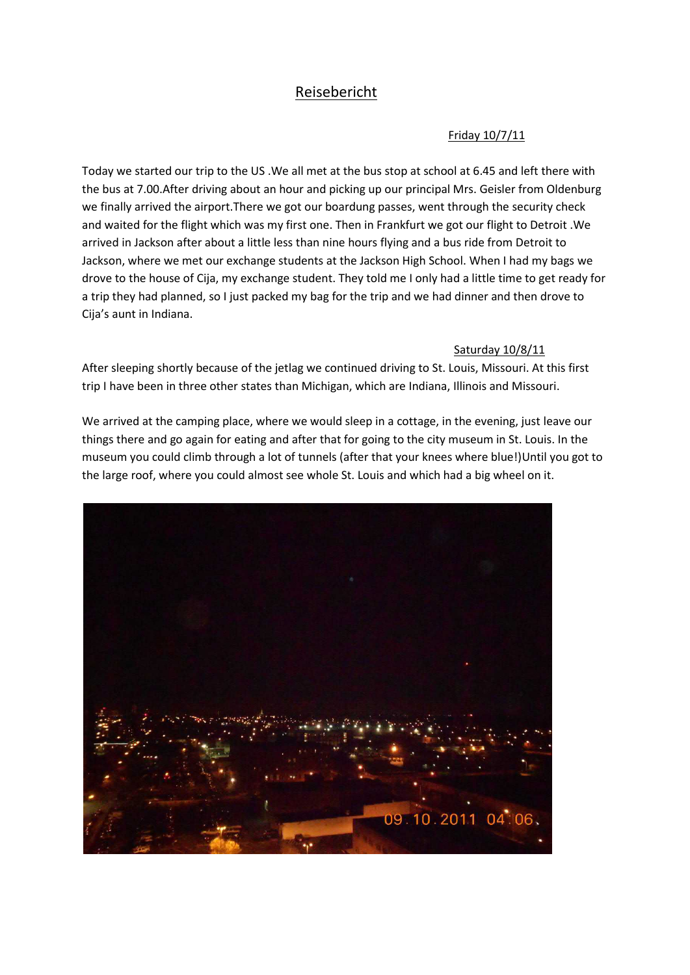# Reisebericht

### Friday 10/7/11

Today we started our trip to the US .We all met at the bus stop at school at 6.45 and left there with the bus at 7.00.After driving about an hour and picking up our principal Mrs. Geisler from Oldenburg we finally arrived the airport.There we got our boardung passes, went through the security check and waited for the flight which was my first one. Then in Frankfurt we got our flight to Detroit .We arrived in Jackson after about a little less than nine hours flying and a bus ride from Detroit to Jackson, where we met our exchange students at the Jackson High School. When I had my bags we drove to the house of Cija, my exchange student. They told me I only had a little time to get ready for a trip they had planned, so I just packed my bag for the trip and we had dinner and then drove to Cija's aunt in Indiana.

#### Saturday 10/8/11

After sleeping shortly because of the jetlag we continued driving to St. Louis, Missouri. At this first trip I have been in three other states than Michigan, which are Indiana, Illinois and Missouri.

We arrived at the camping place, where we would sleep in a cottage, in the evening, just leave our things there and go again for eating and after that for going to the city museum in St. Louis. In the museum you could climb through a lot of tunnels (after that your knees where blue!)Until you got to the large roof, where you could almost see whole St. Louis and which had a big wheel on it.

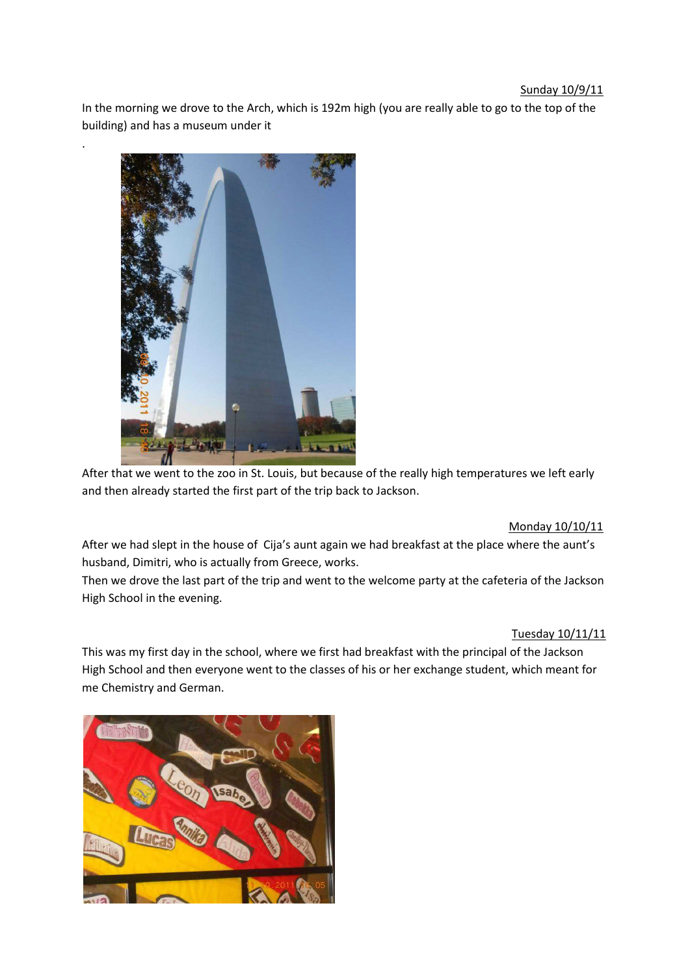#### Sunday 10/9/11

In the morning we drove to the Arch, which is 192m high (you are really able to go to the top of the building) and has a museum under it



.

After that we went to the zoo in St. Louis, but because of the really high temperatures we left early and then already started the first part of the trip back to Jackson.

### Monday 10/10/11

After we had slept in the house of Cija's aunt again we had breakfast at the place where the aunt's husband, Dimitri, who is actually from Greece, works.

Then we drove the last part of the trip and went to the welcome party at the cafeteria of the Jackson High School in the evening.

### Tuesday 10/11/11

This was my first day in the school, where we first had breakfast with the principal of the Jackson High School and then everyone went to the classes of his or her exchange student, which meant for me Chemistry and German.

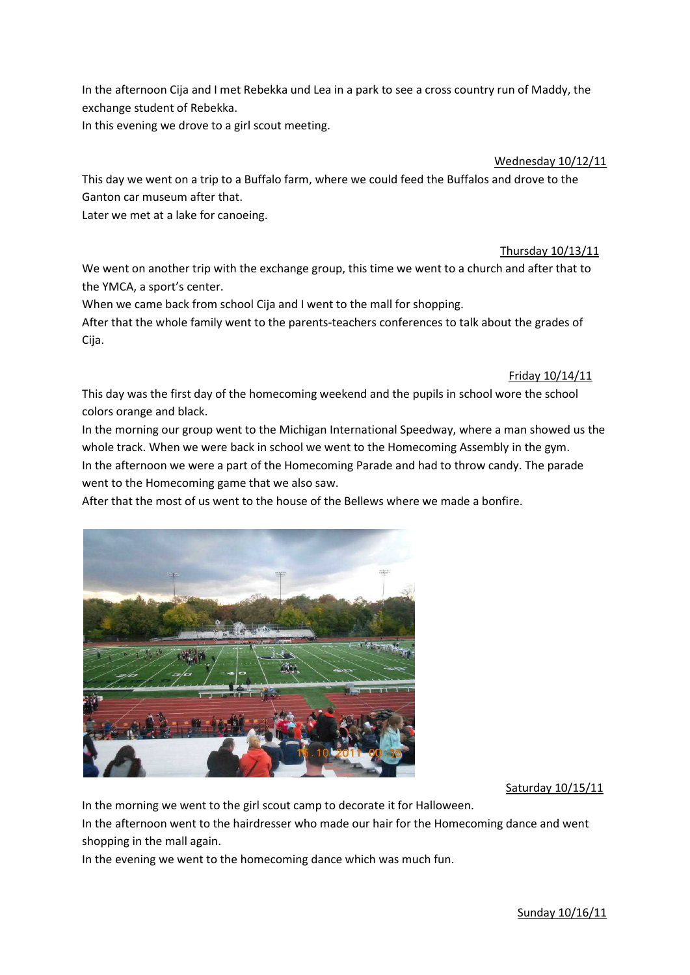In the afternoon Cija and I met Rebekka und Lea in a park to see a cross country run of Maddy, the exchange student of Rebekka.

In this evening we drove to a girl scout meeting.

Wednesday 10/12/11

This day we went on a trip to a Buffalo farm, where we could feed the Buffalos and drove to the Ganton car museum after that.

Later we met at a lake for canoeing.

Thursday 10/13/11

We went on another trip with the exchange group, this time we went to a church and after that to the YMCA, a sport's center.

When we came back from school Cija and I went to the mall for shopping.

After that the whole family went to the parents-teachers conferences to talk about the grades of Cija.

Friday 10/14/11

This day was the first day of the homecoming weekend and the pupils in school wore the school colors orange and black.

In the morning our group went to the Michigan International Speedway, where a man showed us the whole track. When we were back in school we went to the Homecoming Assembly in the gym. In the afternoon we were a part of the Homecoming Parade and had to throw candy. The parade went to the Homecoming game that we also saw.

After that the most of us went to the house of the Bellews where we made a bonfire.



Saturday 10/15/11

In the morning we went to the girl scout camp to decorate it for Halloween.

In the afternoon went to the hairdresser who made our hair for the Homecoming dance and went shopping in the mall again.

In the evening we went to the homecoming dance which was much fun.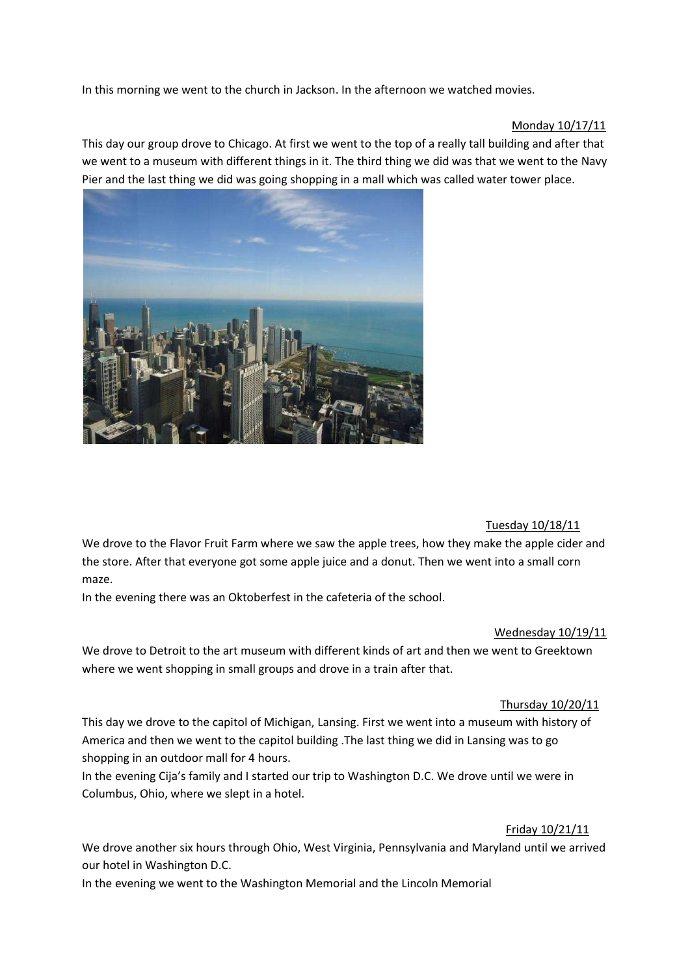In this morning we went to the church in Jackson. In the afternoon we watched movies.

### Monday 10/17/11

This day our group drove to Chicago. At first we went to the top of a really tall building and after that we went to a museum with different things in it. The third thing we did was that we went to the Navy Pier and the last thing we did was going shopping in a mall which was called water tower place.



### Tuesday 10/18/11

We drove to the Flavor Fruit Farm where we saw the apple trees, how they make the apple cider and the store. After that everyone got some apple juice and a donut. Then we went into a small corn maze.

In the evening there was an Oktoberfest in the cafeteria of the school.

#### Wednesday 10/19/11

We drove to Detroit to the art museum with different kinds of art and then we went to Greektown where we went shopping in small groups and drove in a train after that.

### Thursday 10/20/11

This day we drove to the capitol of Michigan, Lansing. First we went into a museum with history of America and then we went to the capitol building .The last thing we did in Lansing was to go shopping in an outdoor mall for 4 hours.

In the evening Cija's family and I started our trip to Washington D.C. We drove until we were in Columbus, Ohio, where we slept in a hotel.

### Friday 10/21/11

We drove another six hours through Ohio, West Virginia, Pennsylvania and Maryland until we arrived our hotel in Washington D.C.

In the evening we went to the Washington Memorial and the Lincoln Memorial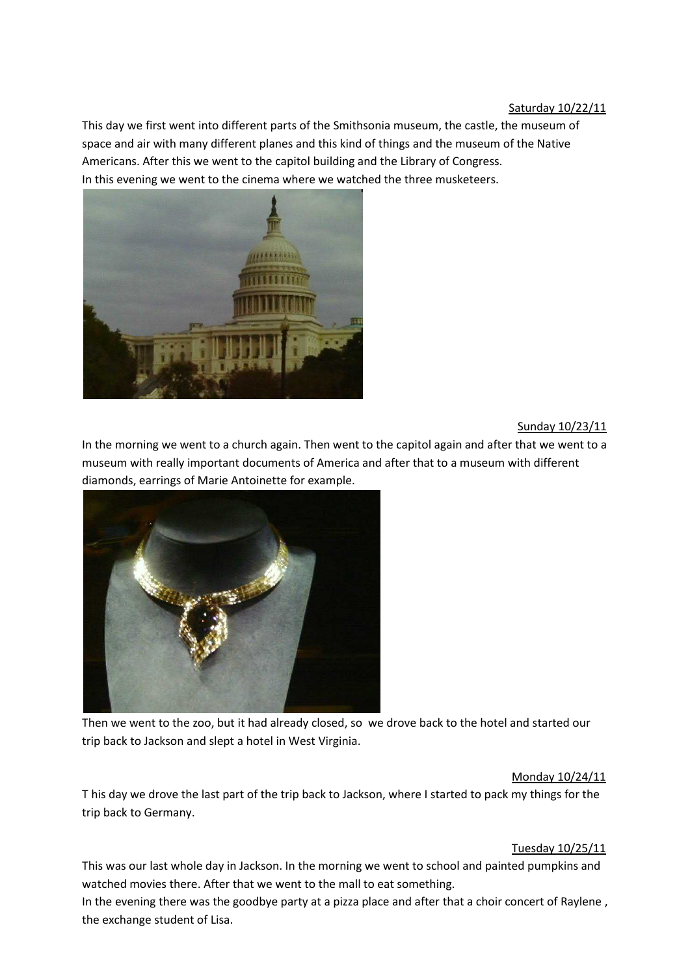This day we first went into different parts of the Smithsonia museum, the castle, the museum of space and air with many different planes and this kind of things and the museum of the Native Americans. After this we went to the capitol building and the Library of Congress. In this evening we went to the cinema where we watched the three musketeers.



## Sunday 10/23/11

In the morning we went to a church again. Then went to the capitol again and after that we went to a museum with really important documents of America and after that to a museum with different diamonds, earrings of Marie Antoinette for example.



Then we went to the zoo, but it had already closed, so we drove back to the hotel and started our trip back to Jackson and slept a hotel in West Virginia.

#### Monday 10/24/11

T his day we drove the last part of the trip back to Jackson, where I started to pack my things for the trip back to Germany.

#### Tuesday 10/25/11

This was our last whole day in Jackson. In the morning we went to school and painted pumpkins and watched movies there. After that we went to the mall to eat something.

In the evening there was the goodbye party at a pizza place and after that a choir concert of Raylene , the exchange student of Lisa.